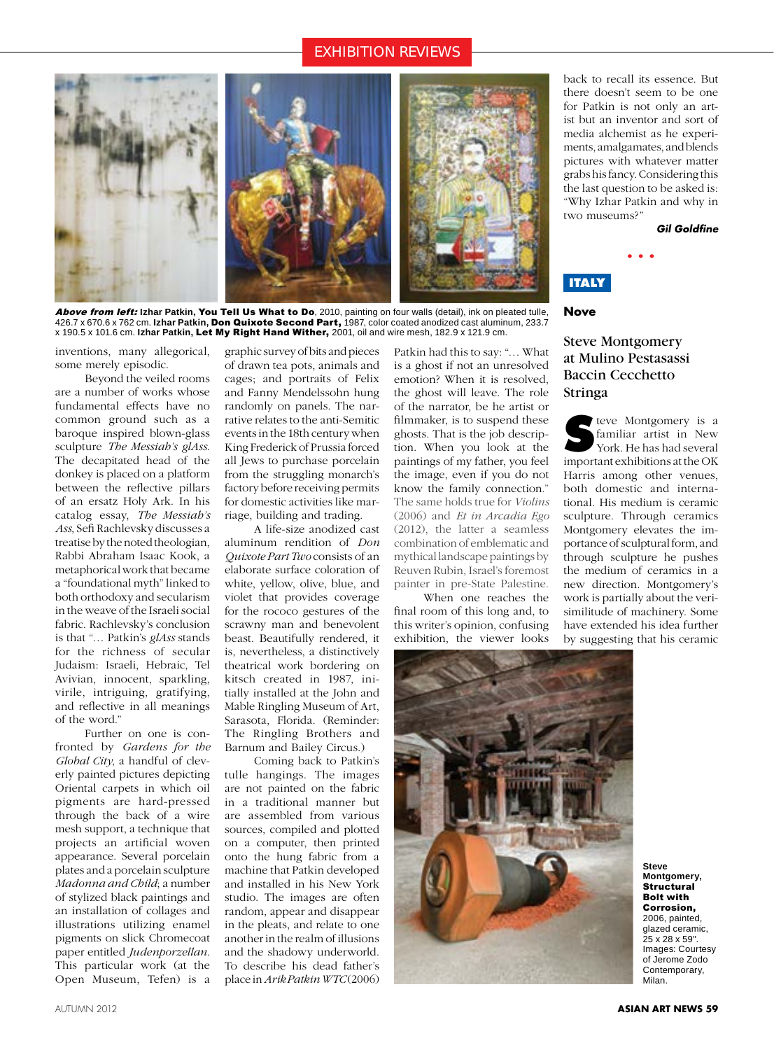# EXHIBITION REVIEWS



Above from left: **Izhar Patkin,** You Tell Us What to Do, 2010, painting on four walls (detail), ink on pleated tulle, 426.7 x 670.6 x 762 cm. **Izhar Patkin,** Don Quixote Second Part, 1987, color coated anodized cast aluminum, 233.7 x 190.5 x 101.6 cm. **Izhar Patkin,** Let My Right Hand Wither, 2001, oil and wire mesh, 182.9 x 121.9 cm.

inventions, many allegorical, some merely episodic.

Beyond the veiled rooms are a number of works whose fundamental effects have no common ground such as a baroque inspired blown-glass sculpture *The Messiah's glAss*. The decapitated head of the donkey is placed on a platform between the reflective pillars of an ersatz Holy Ark. In his catalog essay, *The Messiah's Ass*, Sefi Rachlevsky discusses a treatise by the noted theologian, Rabbi Abraham Isaac Kook, a metaphorical work that became a "foundational myth" linked to both orthodoxy and secularism in the weave of the Israeli social fabric. Rachlevsky's conclusion is that "… Patkin's *glAss* stands for the richness of secular Judaism: Israeli, Hebraic, Tel Avivian, innocent, sparkling, virile, intriguing, gratifying, and reflective in all meanings of the word."

Further on one is confronted by *Gardens for the Global City*, a handful of cleverly painted pictures depicting Oriental carpets in which oil pigments are hard-pressed through the back of a wire mesh support, a technique that projects an artificial woven appearance. Several porcelain plates and a porcelain sculpture *Madonna and Child*; a number of stylized black paintings and an installation of collages and illustrations utilizing enamel pigments on slick Chromecoat paper entitled *Judenporzellan*. This particular work (at the Open Museum, Tefen) is a

graphic survey of bits and pieces of drawn tea pots, animals and cages; and portraits of Felix and Fanny Mendelssohn hung randomly on panels. The narrative relates to the anti-Semitic events in the 18th century when King Frederick of Prussia forced all Jews to purchase porcelain from the struggling monarch's factory before receiving permits for domestic activities like marriage, building and trading.

A life-size anodized cast aluminum rendition of *Don Quixote Part Two* consists of an elaborate surface coloration of white, yellow, olive, blue, and violet that provides coverage for the rococo gestures of the scrawny man and benevolent beast. Beautifully rendered, it is, nevertheless, a distinctively theatrical work bordering on kitsch created in 1987, initially installed at the John and Mable Ringling Museum of Art, Sarasota, Florida. (Reminder: The Ringling Brothers and Barnum and Bailey Circus.)

Coming back to Patkin's tulle hangings. The images are not painted on the fabric in a traditional manner but are assembled from various sources, compiled and plotted on a computer, then printed onto the hung fabric from a machine that Patkin developed and installed in his New York studio. The images are often random, appear and disappear in the pleats, and relate to one another in the realm of illusions and the shadowy underworld. To describe his dead father's place in *Arik Patkin WTC* (2006)

Patkin had this to say: "… What is a ghost if not an unresolved emotion? When it is resolved, the ghost will leave. The role of the narrator, be he artist or filmmaker, is to suspend these ghosts. That is the job description. When you look at the paintings of my father, you feel the image, even if you do not know the family connection." The same holds true for *Violins* (2006) and *Et in Arcadia Ego* (2012), the latter a seamless combination of emblematic and mythical landscape paintings by Reuven Rubin, Israel's foremost painter in pre-State Palestine.

When one reaches the final room of this long and, to this writer's opinion, confusing exhibition, the viewer looks



back to recall its essence. But there doesn't seem to be one for Patkin is not only an artist but an inventor and sort of media alchemist as he experiments, amalgamates, and blends pictures with whatever matter grabs his fancy. Considering this the last question to be asked is: "Why Izhar Patkin and why in two museums?"

• • •

*Gil Goldfine* 

# **ITALY**

#### **Nove**

# Steve Montgomery at Mulino Pestasassi Baccin Cecchetto Stringa

**S**teve Montgomery is a familiar artist in New York. He has had several important exhibitions at the OK Harris among other venues, both domestic and international. His medium is ceramic sculpture. Through ceramics Montgomery elevates the importance of sculptural form, and through sculpture he pushes the medium of ceramics in a new direction. Montgomery's work is partially about the verisimilitude of machinery. Some have extended his idea further by suggesting that his ceramic

> **Steve Montgomery, Structural** Bolt with Corrosion, 2006, painted, glazed ceramic, 25 x 28 x 59". Images: Courtesy of Jerome Zodo Contemporary, Milan.